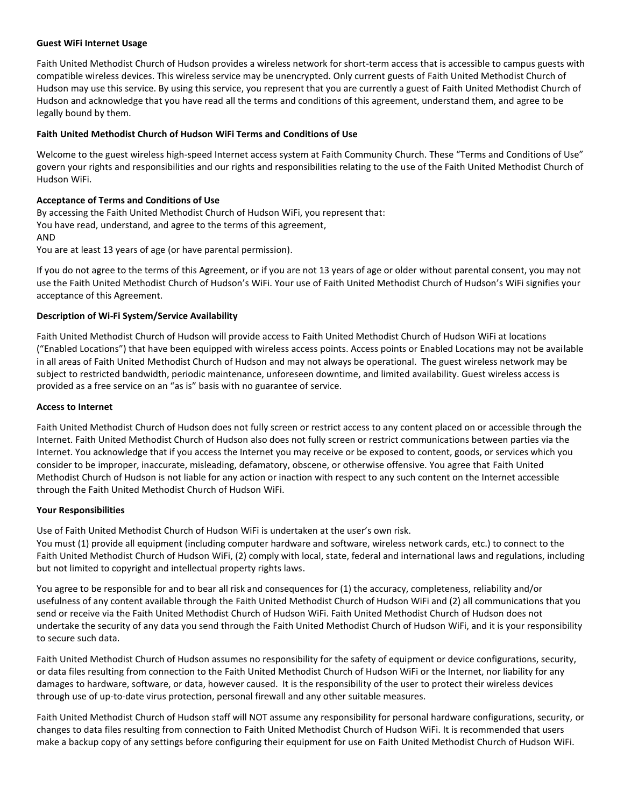#### **Guest WiFi Internet Usage**

Faith United Methodist Church of Hudson provides a wireless network for short-term access that is accessible to campus guests with compatible wireless devices. This wireless service may be unencrypted. Only current guests of Faith United Methodist Church of Hudson may use this service. By using this service, you represent that you are currently a guest of Faith United Methodist Church of Hudson and acknowledge that you have read all the terms and conditions of this agreement, understand them, and agree to be legally bound by them.

## **Faith United Methodist Church of Hudson WiFi Terms and Conditions of Use**

Welcome to the guest wireless high-speed Internet access system at Faith Community Church. These "Terms and Conditions of Use" govern your rights and responsibilities and our rights and responsibilities relating to the use of the Faith United Methodist Church of Hudson WiFi.

# **Acceptance of Terms and Conditions of Use**

By accessing the Faith United Methodist Church of Hudson WiFi, you represent that: You have read, understand, and agree to the terms of this agreement, AND

You are at least 13 years of age (or have parental permission).

If you do not agree to the terms of this Agreement, or if you are not 13 years of age or older without parental consent, you may not use the Faith United Methodist Church of Hudson's WiFi. Your use of Faith United Methodist Church of Hudson's WiFi signifies your acceptance of this Agreement.

## **Description of Wi-Fi System/Service Availability**

Faith United Methodist Church of Hudson will provide access to Faith United Methodist Church of Hudson WiFi at locations ("Enabled Locations") that have been equipped with wireless access points. Access points or Enabled Locations may not be available in all areas of Faith United Methodist Church of Hudson and may not always be operational. The guest wireless network may be subject to restricted bandwidth, periodic maintenance, unforeseen downtime, and limited availability. Guest wireless access is provided as a free service on an "as is" basis with no guarantee of service.

#### **Access to Internet**

Faith United Methodist Church of Hudson does not fully screen or restrict access to any content placed on or accessible through the Internet. Faith United Methodist Church of Hudson also does not fully screen or restrict communications between parties via the Internet. You acknowledge that if you access the Internet you may receive or be exposed to content, goods, or services which you consider to be improper, inaccurate, misleading, defamatory, obscene, or otherwise offensive. You agree that Faith United Methodist Church of Hudson is not liable for any action or inaction with respect to any such content on the Internet accessible through the Faith United Methodist Church of Hudson WiFi.

## **Your Responsibilities**

Use of Faith United Methodist Church of Hudson WiFi is undertaken at the user's own risk. You must (1) provide all equipment (including computer hardware and software, wireless network cards, etc.) to connect to the Faith United Methodist Church of Hudson WiFi, (2) comply with local, state, federal and international laws and regulations, including but not limited to copyright and intellectual property rights laws.

You agree to be responsible for and to bear all risk and consequences for (1) the accuracy, completeness, reliability and/or usefulness of any content available through the Faith United Methodist Church of Hudson WiFi and (2) all communications that you send or receive via the Faith United Methodist Church of Hudson WiFi. Faith United Methodist Church of Hudson does not undertake the security of any data you send through the Faith United Methodist Church of Hudson WiFi, and it is your responsibility to secure such data.

Faith United Methodist Church of Hudson assumes no responsibility for the safety of equipment or device configurations, security, or data files resulting from connection to the Faith United Methodist Church of Hudson WiFi or the Internet, nor liability for any damages to hardware, software, or data, however caused. It is the responsibility of the user to protect their wireless devices through use of up-to-date virus protection, personal firewall and any other suitable measures.

Faith United Methodist Church of Hudson staff will NOT assume any responsibility for personal hardware configurations, security, or changes to data files resulting from connection to Faith United Methodist Church of Hudson WiFi. It is recommended that users make a backup copy of any settings before configuring their equipment for use on Faith United Methodist Church of Hudson WiFi.